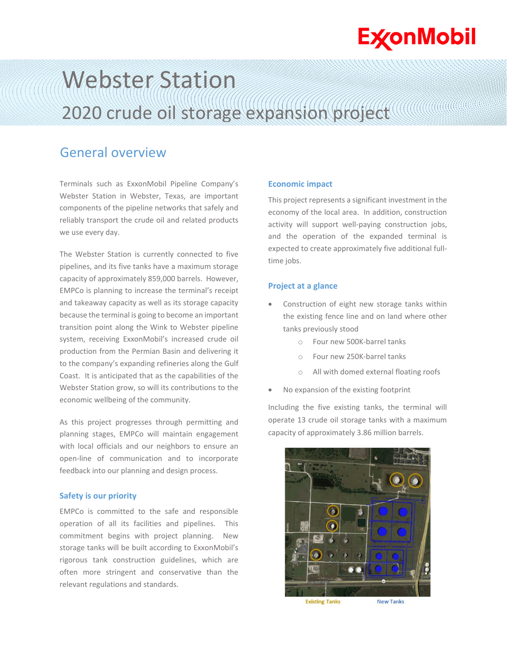## **ExconMobil**

# Webster Station 2020 crude oil storage expansion project

### General overview

Terminals such as ExxonMobil Pipeline Company's Webster Station in Webster, Texas, are important components of the pipeline networks that safely and reliably transport the crude oil and related products we use every day.

The Webster Station is currently connected to five pipelines, and its five tanks have a maximum storage capacity of approximately 859,000 barrels. However, EMPCo is planning to increase the terminal's receipt and takeaway capacity as well as its storage capacity because the terminal is going to become an important transition point along the Wink to Webster pipeline system, receiving ExxonMobil's increased crude oil production from the Permian Basin and delivering it to the company's expanding refineries along the Gulf Coast. It is anticipated that as the capabilities of the Webster Station grow, so will its contributions to the economic wellbeing of the community.

As this project progresses through permitting and planning stages, EMPCo will maintain engagement with local officials and our neighbors to ensure an open-line of communication and to incorporate feedback into our planning and design process.

#### **Safety is our priority**

EMPCo is committed to the safe and responsible operation of all its facilities and pipelines. This commitment begins with project planning. New storage tanks will be built according to ExxonMobil's rigorous tank construction guidelines, which are often more stringent and conservative than the relevant regulations and standards.

#### **Economic impact**

This project represents a significant investment in the economy of the local area. In addition, construction activity will support well-paying construction jobs, and the operation of the expanded terminal is expected to create approximately five additional fulltime jobs.

#### **Project at a glance**

- Construction of eight new storage tanks within the existing fence line and on land where other tanks previously stood
	- o Four new 500K-barrel tanks
	- o Four new 250K-barrel tanks
	- o All with domed external floating roofs
- No expansion of the existing footprint

Including the five existing tanks, the terminal will operate 13 crude oil storage tanks with a maximum capacity of approximately 3.86 million barrels.